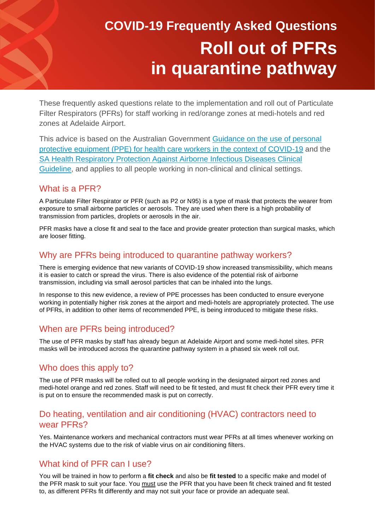# **COVID-19 Frequently Asked Questions Roll out of PFRs in quarantine pathway**

These frequently asked questions relate to the implementation and roll out of Particulate Filter Respirators (PFRs) for staff working in red/orange zones at medi-hotels and red zones at Adelaide Airport.

This advice is based on the Australian Government [Guidance on the use of personal](https://www.health.gov.au/sites/default/files/documents/2021/06/guidance-on-the-use-of-personal-protective-equipment-ppe-for-health-care-workers-in-the-context-of-covid-19.pdf)  [protective equipment \(PPE\) for health care workers in the context of COVID-19](https://www.health.gov.au/sites/default/files/documents/2021/06/guidance-on-the-use-of-personal-protective-equipment-ppe-for-health-care-workers-in-the-context-of-covid-19.pdf) and the [SA Health Respiratory Protection Against Airborne Infectious Diseases Clinical](https://www.sahealth.sa.gov.au/wps/wcm/connect/0aca9a80423727cc9e0efeef0dac2aff/Clinical_Directive_Respiratory_Protection_+Against_Airborne_Infectious_Diseases_v1.4_22.06.2020.pdf?MOD=AJPERES&CACHEID=ROOTWORKSPACE-0aca9a80423727cc9e0efeef0dac2aff-nzoGzHn)  [Guideline,](https://www.sahealth.sa.gov.au/wps/wcm/connect/0aca9a80423727cc9e0efeef0dac2aff/Clinical_Directive_Respiratory_Protection_+Against_Airborne_Infectious_Diseases_v1.4_22.06.2020.pdf?MOD=AJPERES&CACHEID=ROOTWORKSPACE-0aca9a80423727cc9e0efeef0dac2aff-nzoGzHn) and applies to all people working in non-clinical and clinical settings.

# What is a PFR?

A Particulate Filter Respirator or PFR (such as P2 or N95) is a type of mask that protects the wearer from exposure to small airborne particles or aerosols. They are used when there is a high probability of transmission from particles, droplets or aerosols in the air.

PFR masks have a close fit and seal to the face and provide greater protection than surgical masks, which are looser fitting.

# Why are PFRs being introduced to quarantine pathway workers?

There is emerging evidence that new variants of COVID-19 show increased transmissibility, which means it is easier to catch or spread the virus. There is also evidence of the potential risk of airborne transmission, including via small aerosol particles that can be inhaled into the lungs.

In response to this new evidence, a review of PPE processes has been conducted to ensure everyone working in potentially higher risk zones at the airport and medi-hotels are appropriately protected. The use of PFRs, in addition to other items of recommended PPE, is being introduced to mitigate these risks.

# When are PFRs being introduced?

The use of PFR masks by staff has already begun at Adelaide Airport and some medi-hotel sites. PFR masks will be introduced across the quarantine pathway system in a phased six week roll out.

# Who does this apply to?

The use of PFR masks will be rolled out to all people working in the designated airport red zones and medi-hotel orange and red zones. Staff will need to be fit tested, and must fit check their PFR every time it is put on to ensure the recommended mask is put on correctly.

# Do heating, ventilation and air conditioning (HVAC) contractors need to wear PFRs?

Yes. Maintenance workers and mechanical contractors must wear PFRs at all times whenever working on the HVAC systems due to the risk of viable virus on air conditioning filters.

# What kind of PFR can I use?

You will be trained in how to perform a **fit check** and also be **fit tested** to a specific make and model of the PFR mask to suit your face. You must use the PFR that you have been fit check trained and fit tested to, as different PFRs fit differently and may not suit your face or provide an adequate seal.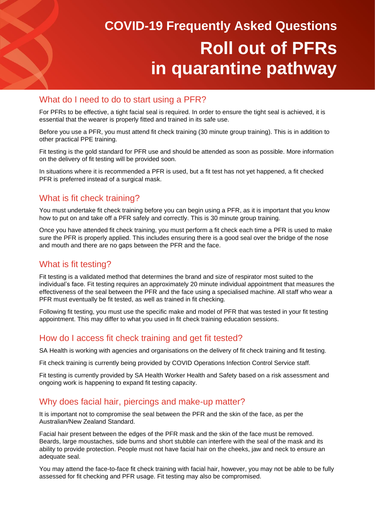# **COVID-19 Frequently Asked Questions Roll out of PFRs in quarantine pathway**

#### What do I need to do to start using a PFR?

For PFRs to be effective, a tight facial seal is required. In order to ensure the tight seal is achieved, it is essential that the wearer is properly fitted and trained in its safe use.

Before you use a PFR, you must attend fit check training (30 minute group training). This is in addition to other practical PPE training.

Fit testing is the gold standard for PFR use and should be attended as soon as possible. More information on the delivery of fit testing will be provided soon.

In situations where it is recommended a PFR is used, but a fit test has not yet happened, a fit checked PFR is preferred instead of a surgical mask.

# What is fit check training?

You must undertake fit check training before you can begin using a PFR, as it is important that you know how to put on and take off a PFR safely and correctly. This is 30 minute group training.

Once you have attended fit check training, you must perform a fit check each time a PFR is used to make sure the PFR is properly applied. This includes ensuring there is a good seal over the bridge of the nose and mouth and there are no gaps between the PFR and the face.

#### What is fit testing?

Fit testing is a validated method that determines the brand and size of respirator most suited to the individual's face. Fit testing requires an approximately 20 minute individual appointment that measures the effectiveness of the seal between the PFR and the face using a specialised machine. All staff who wear a PFR must eventually be fit tested, as well as trained in fit checking.

Following fit testing, you must use the specific make and model of PFR that was tested in your fit testing appointment. This may differ to what you used in fit check training education sessions.

#### How do I access fit check training and get fit tested?

SA Health is working with agencies and organisations on the delivery of fit check training and fit testing.

Fit check training is currently being provided by COVID Operations Infection Control Service staff.

Fit testing is currently provided by SA Health Worker Health and Safety based on a risk assessment and ongoing work is happening to expand fit testing capacity.

# Why does facial hair, piercings and make-up matter?

It is important not to compromise the seal between the PFR and the skin of the face, as per the Australian/New Zealand Standard.

Facial hair present between the edges of the PFR mask and the skin of the face must be removed. Beards, large moustaches, side burns and short stubble can interfere with the seal of the mask and its ability to provide protection. People must not have facial hair on the cheeks, jaw and neck to ensure an adequate seal.

You may attend the face-to-face fit check training with facial hair, however, you may not be able to be fully assessed for fit checking and PFR usage. Fit testing may also be compromised.